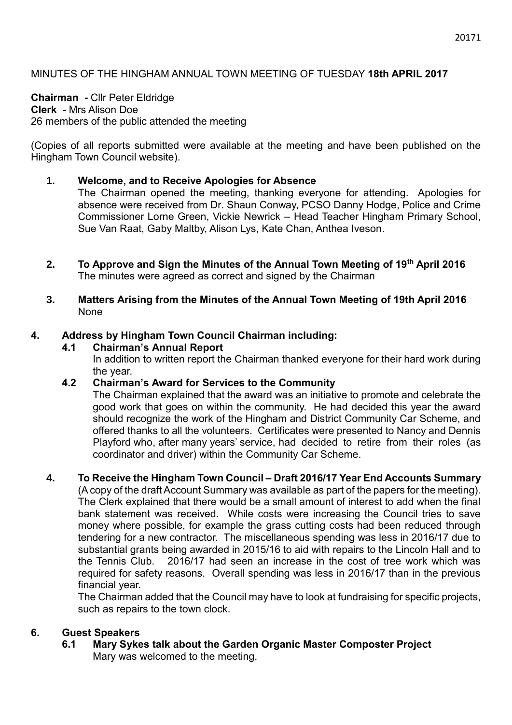### **Chairman -** Cllr Peter Eldridge **Clerk -** Mrs Alison Doe 26 members of the public attended the meeting

(Copies of all reports submitted were available at the meeting and have been published on the Hingham Town Council website).

# **1. Welcome, and to Receive Apologies for Absence**

The Chairman opened the meeting, thanking everyone for attending. Apologies for absence were received from Dr. Shaun Conway, PCSO Danny Hodge, Police and Crime Commissioner Lorne Green, Vickie Newrick – Head Teacher Hingham Primary School, Sue Van Raat, Gaby Maltby, Alison Lys, Kate Chan, Anthea Iveson.

- **2. To Approve and Sign the Minutes of the Annual Town Meeting of 19th April 2016** The minutes were agreed as correct and signed by the Chairman
- **3. Matters Arising from the Minutes of the Annual Town Meeting of 19th April 2016** None

# **4. Address by Hingham Town Council Chairman including:**

### **4.1 Chairman's Annual Report**

In addition to written report the Chairman thanked everyone for their hard work during the year.

# **4.2 Chairman's Award for Services to the Community**

The Chairman explained that the award was an initiative to promote and celebrate the good work that goes on within the community. He had decided this year the award should recognize the work of the Hingham and District Community Car Scheme, and offered thanks to all the volunteers. Certificates were presented to Nancy and Dennis Playford who, after many years' service, had decided to retire from their roles (as coordinator and driver) within the Community Car Scheme.

# **4. To Receive the Hingham Town Council – Draft 2016/17 Year End Accounts Summary**

(A copy of the draft Account Summary was available as part of the papers for the meeting). The Clerk explained that there would be a small amount of interest to add when the final bank statement was received. While costs were increasing the Council tries to save money where possible, for example the grass cutting costs had been reduced through tendering for a new contractor. The miscellaneous spending was less in 2016/17 due to substantial grants being awarded in 2015/16 to aid with repairs to the Lincoln Hall and to the Tennis Club. 2016/17 had seen an increase in the cost of tree work which was required for safety reasons. Overall spending was less in 2016/17 than in the previous financial year.

The Chairman added that the Council may have to look at fundraising for specific projects, such as repairs to the town clock.

# **6. Guest Speakers**

**6.1 Mary Sykes talk about the Garden Organic Master Composter Project** Mary was welcomed to the meeting.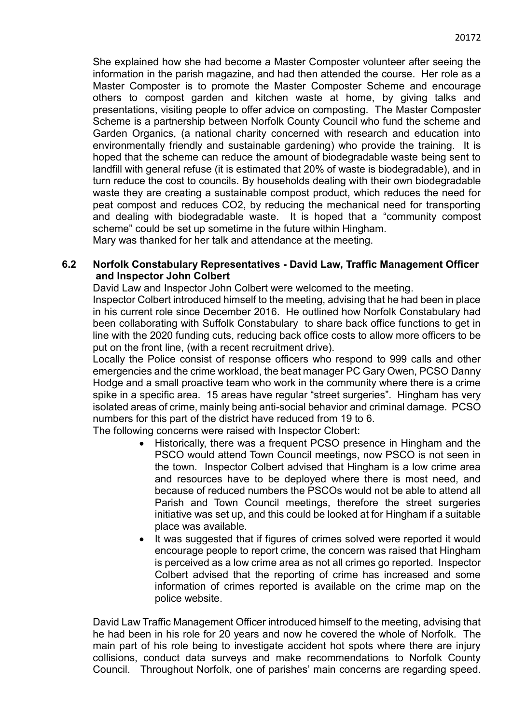She explained how she had become a Master Composter volunteer after seeing the information in the parish magazine, and had then attended the course. Her role as a Master Composter is to promote the Master Composter Scheme and encourage others to compost garden and kitchen waste at home, by giving talks and presentations, visiting people to offer advice on composting. The Master Composter Scheme is a partnership between Norfolk County Council who fund the scheme and Garden Organics, (a national charity concerned with research and education into environmentally friendly and sustainable gardening) who provide the training. It is hoped that the scheme can reduce the amount of biodegradable waste being sent to landfill with general refuse (it is estimated that 20% of waste is biodegradable), and in turn reduce the cost to councils. By households dealing with their own biodegradable waste they are creating a sustainable compost product, which reduces the need for peat compost and reduces CO2, by reducing the mechanical need for transporting and dealing with biodegradable waste. It is hoped that a "community compost scheme" could be set up sometime in the future within Hingham.

Mary was thanked for her talk and attendance at the meeting.

#### **6.2 Norfolk Constabulary Representatives - David Law, Traffic Management Officer and Inspector John Colbert**

David Law and Inspector John Colbert were welcomed to the meeting.

Inspector Colbert introduced himself to the meeting, advising that he had been in place in his current role since December 2016. He outlined how Norfolk Constabulary had been collaborating with Suffolk Constabulary to share back office functions to get in line with the 2020 funding cuts, reducing back office costs to allow more officers to be put on the front line, (with a recent recruitment drive).

Locally the Police consist of response officers who respond to 999 calls and other emergencies and the crime workload, the beat manager PC Gary Owen, PCSO Danny Hodge and a small proactive team who work in the community where there is a crime spike in a specific area. 15 areas have regular "street surgeries". Hingham has very isolated areas of crime, mainly being anti-social behavior and criminal damage. PCSO numbers for this part of the district have reduced from 19 to 6.

The following concerns were raised with Inspector Clobert:

- Historically, there was a frequent PCSO presence in Hingham and the PSCO would attend Town Council meetings, now PSCO is not seen in the town. Inspector Colbert advised that Hingham is a low crime area and resources have to be deployed where there is most need, and because of reduced numbers the PSCOs would not be able to attend all Parish and Town Council meetings, therefore the street surgeries initiative was set up, and this could be looked at for Hingham if a suitable place was available.
- It was suggested that if figures of crimes solved were reported it would encourage people to report crime, the concern was raised that Hingham is perceived as a low crime area as not all crimes go reported. Inspector Colbert advised that the reporting of crime has increased and some information of crimes reported is available on the crime map on the police website.

David Law Traffic Management Officer introduced himself to the meeting, advising that he had been in his role for 20 years and now he covered the whole of Norfolk. The main part of his role being to investigate accident hot spots where there are injury collisions, conduct data surveys and make recommendations to Norfolk County Council. Throughout Norfolk, one of parishes' main concerns are regarding speed.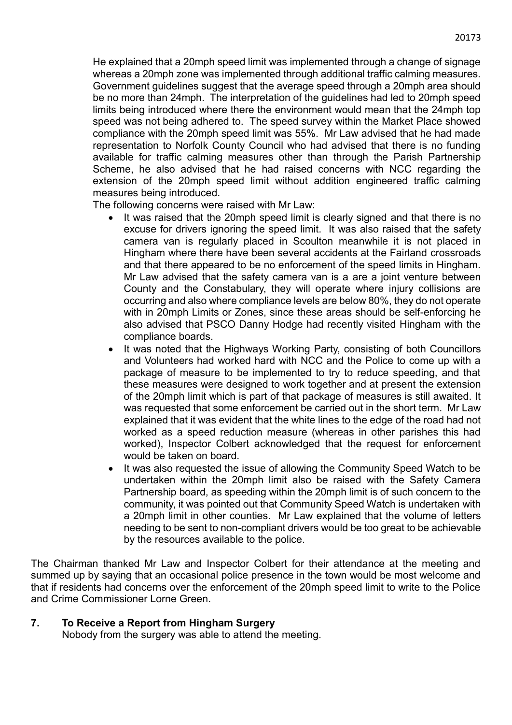He explained that a 20mph speed limit was implemented through a change of signage whereas a 20mph zone was implemented through additional traffic calming measures. Government guidelines suggest that the average speed through a 20mph area should be no more than 24mph. The interpretation of the guidelines had led to 20mph speed limits being introduced where there the environment would mean that the 24mph top speed was not being adhered to. The speed survey within the Market Place showed compliance with the 20mph speed limit was 55%. Mr Law advised that he had made representation to Norfolk County Council who had advised that there is no funding available for traffic calming measures other than through the Parish Partnership Scheme, he also advised that he had raised concerns with NCC regarding the extension of the 20mph speed limit without addition engineered traffic calming measures being introduced.

The following concerns were raised with Mr Law:

- It was raised that the 20mph speed limit is clearly signed and that there is no excuse for drivers ignoring the speed limit. It was also raised that the safety camera van is regularly placed in Scoulton meanwhile it is not placed in Hingham where there have been several accidents at the Fairland crossroads and that there appeared to be no enforcement of the speed limits in Hingham. Mr Law advised that the safety camera van is a are a joint venture between County and the Constabulary, they will operate where injury collisions are occurring and also where compliance levels are below 80%, they do not operate with in 20mph Limits or Zones, since these areas should be self-enforcing he also advised that PSCO Danny Hodge had recently visited Hingham with the compliance boards.
- It was noted that the Highways Working Party, consisting of both Councillors and Volunteers had worked hard with NCC and the Police to come up with a package of measure to be implemented to try to reduce speeding, and that these measures were designed to work together and at present the extension of the 20mph limit which is part of that package of measures is still awaited. It was requested that some enforcement be carried out in the short term. Mr Law explained that it was evident that the white lines to the edge of the road had not worked as a speed reduction measure (whereas in other parishes this had worked), Inspector Colbert acknowledged that the request for enforcement would be taken on board.
- It was also requested the issue of allowing the Community Speed Watch to be undertaken within the 20mph limit also be raised with the Safety Camera Partnership board, as speeding within the 20mph limit is of such concern to the community, it was pointed out that Community Speed Watch is undertaken with a 20mph limit in other counties. Mr Law explained that the volume of letters needing to be sent to non-compliant drivers would be too great to be achievable by the resources available to the police.

The Chairman thanked Mr Law and Inspector Colbert for their attendance at the meeting and summed up by saying that an occasional police presence in the town would be most welcome and that if residents had concerns over the enforcement of the 20mph speed limit to write to the Police and Crime Commissioner Lorne Green.

#### **7. To Receive a Report from Hingham Surgery**

Nobody from the surgery was able to attend the meeting.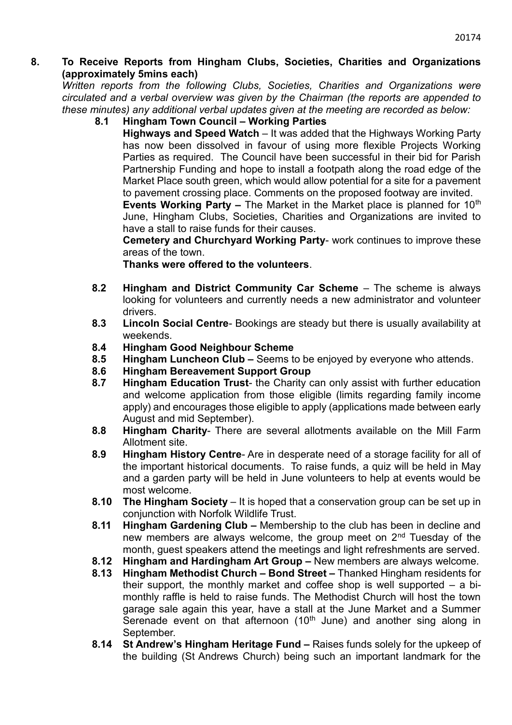#### **8. To Receive Reports from Hingham Clubs, Societies, Charities and Organizations (approximately 5mins each)**

*Written reports from the following Clubs, Societies, Charities and Organizations were circulated and a verbal overview was given by the Chairman (the reports are appended to these minutes) any additional verbal updates given at the meeting are recorded as below:*

**8.1 Hingham Town Council – Working Parties** 

**Highways and Speed Watch** – It was added that the Highways Working Party has now been dissolved in favour of using more flexible Projects Working Parties as required. The Council have been successful in their bid for Parish Partnership Funding and hope to install a footpath along the road edge of the Market Place south green, which would allow potential for a site for a pavement to pavement crossing place. Comments on the proposed footway are invited.

**Events Working Party –** The Market in the Market place is planned for 10<sup>th</sup> June, Hingham Clubs, Societies, Charities and Organizations are invited to have a stall to raise funds for their causes.

**Cemetery and Churchyard Working Party**- work continues to improve these areas of the town.

**Thanks were offered to the volunteers**.

- **8.2 Hingham and District Community Car Scheme** The scheme is always looking for volunteers and currently needs a new administrator and volunteer drivers.
- **8.3 Lincoln Social Centre** Bookings are steady but there is usually availability at weekends.
- **8.4 Hingham Good Neighbour Scheme**
- **8.5 Hingham Luncheon Club –** Seems to be enjoyed by everyone who attends.
- **8.6 Hingham Bereavement Support Group**
- **8.7 Hingham Education Trust** the Charity can only assist with further education and welcome application from those eligible (limits regarding family income apply) and encourages those eligible to apply (applications made between early August and mid September).
- **8.8 Hingham Charity** There are several allotments available on the Mill Farm Allotment site.
- **8.9 Hingham History Centre** Are in desperate need of a storage facility for all of the important historical documents. To raise funds, a quiz will be held in May and a garden party will be held in June volunteers to help at events would be most welcome.
- **8.10 The Hingham Society** It is hoped that a conservation group can be set up in conjunction with Norfolk Wildlife Trust.
- **8.11 Hingham Gardening Club –** Membership to the club has been in decline and new members are always welcome, the group meet on 2<sup>nd</sup> Tuesday of the month, guest speakers attend the meetings and light refreshments are served.
- **8.12 Hingham and Hardingham Art Group –** New members are always welcome.
- **8.13 Hingham Methodist Church – Bond Street –** Thanked Hingham residents for their support, the monthly market and coffee shop is well supported – a bimonthly raffle is held to raise funds. The Methodist Church will host the town garage sale again this year, have a stall at the June Market and a Summer Serenade event on that afternoon  $(10<sup>th</sup>$  June) and another sing along in September.
- **8.14 St Andrew's Hingham Heritage Fund –** Raises funds solely for the upkeep of the building (St Andrews Church) being such an important landmark for the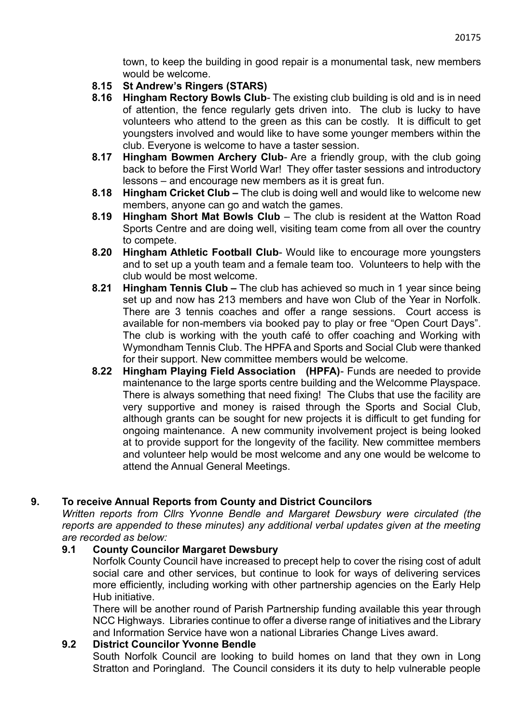town, to keep the building in good repair is a monumental task, new members would be welcome.

- **8.15 St Andrew's Ringers (STARS)**
- **8.16 Hingham Rectory Bowls Club** The existing club building is old and is in need of attention, the fence regularly gets driven into. The club is lucky to have volunteers who attend to the green as this can be costly. It is difficult to get youngsters involved and would like to have some younger members within the club. Everyone is welcome to have a taster session.
- **8.17 Hingham Bowmen Archery Club** Are a friendly group, with the club going back to before the First World War! They offer taster sessions and introductory lessons – and encourage new members as it is great fun.
- **8.18 Hingham Cricket Club –** The club is doing well and would like to welcome new members, anyone can go and watch the games.
- **8.19 Hingham Short Mat Bowls Club** The club is resident at the Watton Road Sports Centre and are doing well, visiting team come from all over the country to compete.
- **8.20 Hingham Athletic Football Club** Would like to encourage more youngsters and to set up a youth team and a female team too. Volunteers to help with the club would be most welcome.
- **8.21 Hingham Tennis Club –** The club has achieved so much in 1 year since being set up and now has 213 members and have won Club of the Year in Norfolk. There are 3 tennis coaches and offer a range sessions. Court access is available for non-members via booked pay to play or free "Open Court Days". The club is working with the youth café to offer coaching and Working with Wymondham Tennis Club. The HPFA and Sports and Social Club were thanked for their support. New committee members would be welcome.
- **8.22 Hingham Playing Field Association (HPFA)** Funds are needed to provide maintenance to the large sports centre building and the Welcomme Playspace. There is always something that need fixing! The Clubs that use the facility are very supportive and money is raised through the Sports and Social Club, although grants can be sought for new projects it is difficult to get funding for ongoing maintenance. A new community involvement project is being looked at to provide support for the longevity of the facility. New committee members and volunteer help would be most welcome and any one would be welcome to attend the Annual General Meetings.

# **9. To receive Annual Reports from County and District Councilors**

*Written reports from Cllrs Yvonne Bendle and Margaret Dewsbury were circulated (the reports are appended to these minutes) any additional verbal updates given at the meeting are recorded as below:*

### **9.1 County Councilor Margaret Dewsbury**

Norfolk County Council have increased to precept help to cover the rising cost of adult social care and other services, but continue to look for ways of delivering services more efficiently, including working with other partnership agencies on the Early Help Hub initiative.

There will be another round of Parish Partnership funding available this year through NCC Highways. Libraries continue to offer a diverse range of initiatives and the Library and Information Service have won a national Libraries Change Lives award.

### **9.2 District Councilor Yvonne Bendle**

South Norfolk Council are looking to build homes on land that they own in Long Stratton and Poringland. The Council considers it its duty to help vulnerable people